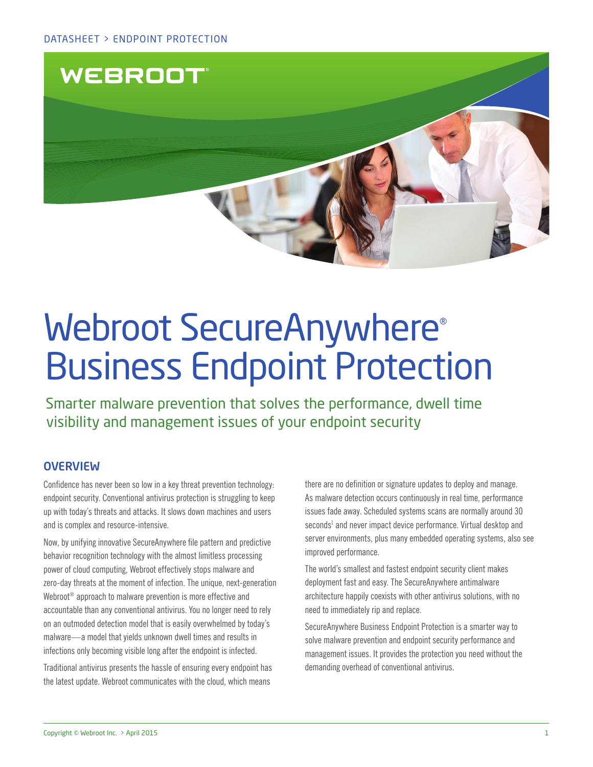

# Webroot SecureAnywhere® Business Endpoint Protection

Smarter malware prevention that solves the performance, dwell time visibility and management issues of your endpoint security

# **OVERVIEW**

Confidence has never been so low in a key threat prevention technology: endpoint security. Conventional antivirus protection is struggling to keep up with today's threats and attacks. It slows down machines and users and is complex and resource-intensive.

Now, by unifying innovative SecureAnywhere file pattern and predictive behavior recognition technology with the almost limitless processing power of cloud computing, Webroot effectively stops malware and zero-day threats at the moment of infection. The unique, next-generation Webroot<sup>®</sup> approach to malware prevention is more effective and accountable than any conventional antivirus. You no longer need to rely on an outmoded detection model that is easily overwhelmed by today's malware—a model that yields unknown dwell times and results in infections only becoming visible long after the endpoint is infected.

Traditional antivirus presents the hassle of ensuring every endpoint has the latest update. Webroot communicates with the cloud, which means

there are no definition or signature updates to deploy and manage. As malware detection occurs continuously in real time, performance issues fade away. Scheduled systems scans are normally around 30 seconds<sup>1</sup> and never impact device performance. Virtual desktop and server environments, plus many embedded operating systems, also see improved performance.

The world's smallest and fastest endpoint security client makes deployment fast and easy. The SecureAnywhere antimalware architecture happily coexists with other antivirus solutions, with no need to immediately rip and replace.

SecureAnywhere Business Endpoint Protection is a smarter way to solve malware prevention and endpoint security performance and management issues. It provides the protection you need without the demanding overhead of conventional antivirus.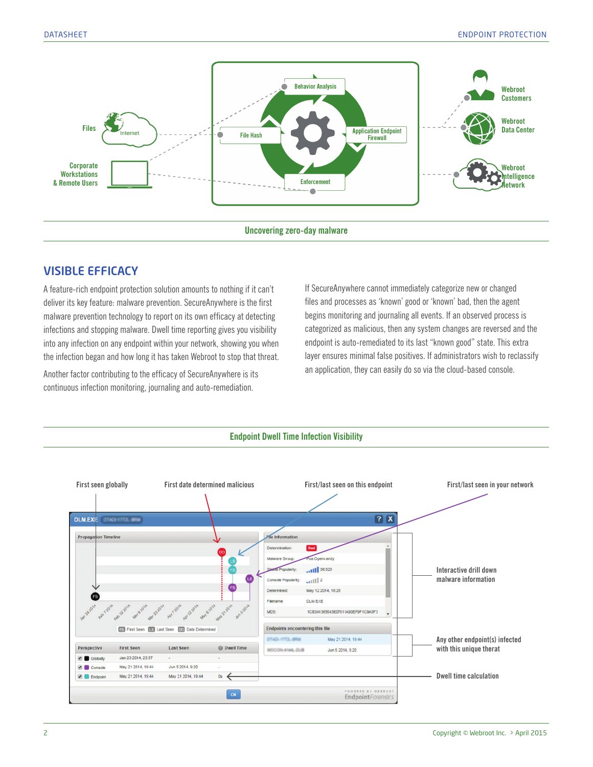

# VISIBLE EFFICACY

A feature-rich endpoint protection solution amounts to nothing if it can't deliver its key feature: malware prevention. SecureAnywhere is the first malware prevention technology to report on its own efficacy at detecting infections and stopping malware. Dwell time reporting gives you visibility into any infection on any endpoint within your network, showing you when the infection began and how long it has taken Webroot to stop that threat.

Another factor contributing to the efficacy of SecureAnywhere is its continuous infection monitoring, journaling and auto-remediation.

If SecureAnywhere cannot immediately categorize new or changed files and processes as 'known' good or 'known' bad, then the agent begins monitoring and journaling all events. If an observed process is categorized as malicious, then any system changes are reversed and the endpoint is auto-remediated to its last "known good" state. This extra layer ensures minimal false positives. If administrators wish to reclassify an application, they can easily do so via the cloud-based console.



#### 2 Copyright © Webroot Inc. > April 2015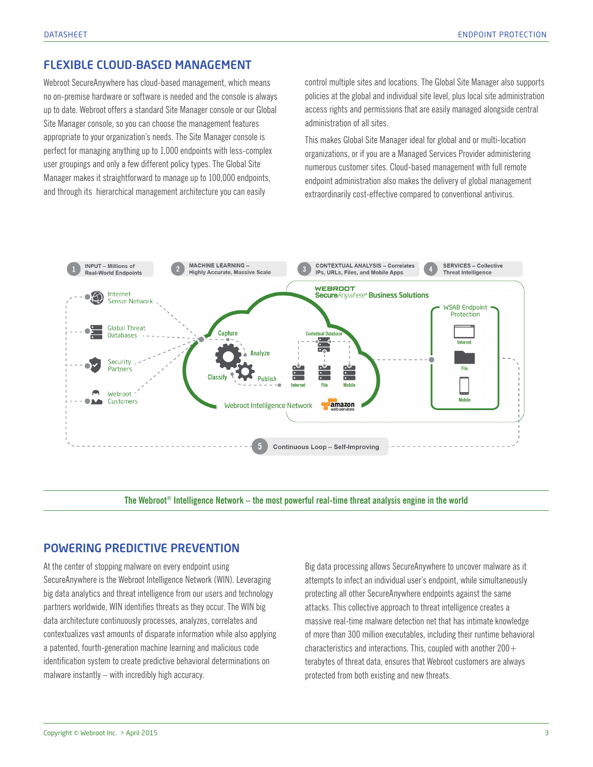## FLEXIBLE CLOUD-BASED MANAGEMENT

Webroot SecureAnywhere has cloud-based management, which means no on-premise hardware or software is needed and the console is always up to date. Webroot offers a standard Site Manager console or our Global Site Manager console, so you can choose the management features appropriate to your organization's needs. The Site Manager console is perfect for managing anything up to 1,000 endpoints with less-complex user groupings and only a few different policy types. The Global Site Manager makes it straightforward to manage up to 100,000 endpoints, and through its hierarchical management architecture you can easily

control multiple sites and locations. The Global Site Manager also supports policies at the global and individual site level, plus local site administration access rights and permissions that are easily managed alongside central administration of all sites.

This makes Global Site Manager ideal for global and or multi-location organizations, or if you are a Managed Services Provider administering numerous customer sites. Cloud-based management with full remote endpoint administration also makes the delivery of global management extraordinarily cost-effective compared to conventional antivirus.



**The Webroot® Intelligence Network – the most powerful real-time threat analysis engine in the world**

## POWERING PREDICTIVE PREVENTION

At the center of stopping malware on every endpoint using SecureAnywhere is the Webroot Intelligence Network (WIN). Leveraging big data analytics and threat intelligence from our users and technology partners worldwide, WIN identifies threats as they occur. The WIN big data architecture continuously processes, analyzes, correlates and contextualizes vast amounts of disparate information while also applying a patented, fourth-generation machine learning and malicious code identification system to create predictive behavioral determinations on malware instantly – with incredibly high accuracy.

Big data processing allows SecureAnywhere to uncover malware as it attempts to infect an individual user's endpoint, while simultaneously protecting all other SecureAnywhere endpoints against the same attacks. This collective approach to threat intelligence creates a massive real-time malware detection net that has intimate knowledge of more than 300 million executables, including their runtime behavioral characteristics and interactions. This, coupled with another  $200+$ terabytes of threat data, ensures that Webroot customers are always protected from both existing and new threats.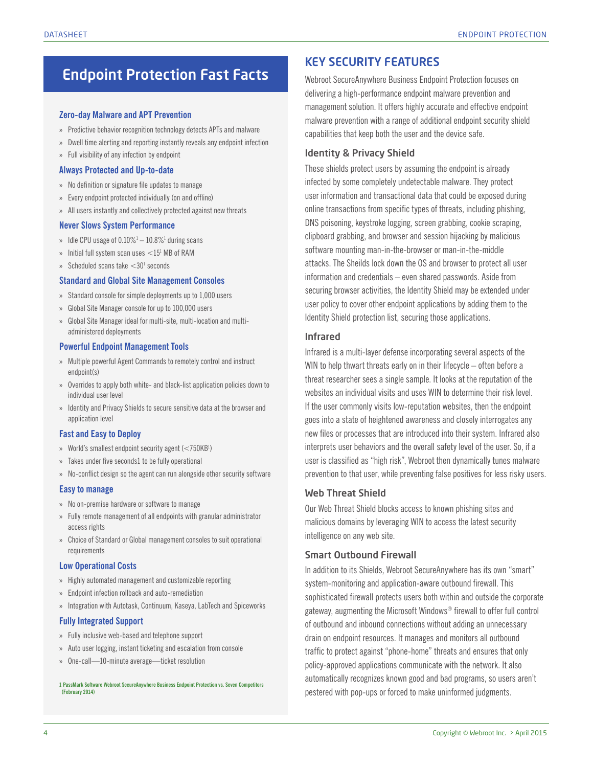# Endpoint Protection Fast Facts

#### **Zero-day Malware and APT Prevention**

- » Predictive behavior recognition technology detects APTs and malware
- » Dwell time alerting and reporting instantly reveals any endpoint infection
- » Full visibility of any infection by endpoint

#### **Always Protected and Up-to-date**

- » No definition or signature file updates to manage
- » Every endpoint protected individually (on and offline)
- » All users instantly and collectively protected against new threats

#### **Never Slows System Performance**

- » Idle CPU usage of  $0.10\%$ <sup>1</sup>  $-10.8\%$ <sup>1</sup> during scans
- $\rm{^{\rm{1}}}$  Initial full system scan uses  $\rm {<}15^{\rm{l}}$  MB of RAM
- $\rm{^{33}~S}$  Scheduled scans take  $\rm {<}30^{\rm{l}}$  seconds

#### **Standard and Global Site Management Consoles**

- » Standard console for simple deployments up to 1,000 users
- » Global Site Manager console for up to 100,000 users
- » Global Site Manager ideal for multi-site, multi-location and multiadministered deployments

#### **Powerful Endpoint Management Tools**

- » Multiple powerful Agent Commands to remotely control and instruct endpoint(s)
- » Overrides to apply both white- and black-list application policies down to individual user level
- » Identity and Privacy Shields to secure sensitive data at the browser and application level

#### **Fast and Easy to Deploy**

- » World's smallest endpoint security agent (<750KB<sup>1</sup>)
- » Takes under five seconds1 to be fully operational
- » No-conflict design so the agent can run alongside other security software

#### **Easy to manage**

- » No on-premise hardware or software to manage
- » Fully remote management of all endpoints with granular administrator access rights
- » Choice of Standard or Global management consoles to suit operational requirements

#### **Low Operational Costs**

- » Highly automated management and customizable reporting
- » Endpoint infection rollback and auto-remediation
- » Integration with Autotask, Continuum, Kaseya, LabTech and Spiceworks

#### **Fully Integrated Support**

- » Fully inclusive web-based and telephone support
- » Auto user logging, instant ticketing and escalation from console
- » One-call—10-minute average—ticket resolution

#### **1 PassMark Software Webroot SecureAnywhere Business Endpoint Protection vs. Seven Competitors (February 2014)**

# KEY SECURITY FEATURES

Webroot SecureAnywhere Business Endpoint Protection focuses on delivering a high-performance endpoint malware prevention and management solution. It offers highly accurate and effective endpoint malware prevention with a range of additional endpoint security shield capabilities that keep both the user and the device safe.

#### Identity & Privacy Shield

These shields protect users by assuming the endpoint is already infected by some completely undetectable malware. They protect user information and transactional data that could be exposed during online transactions from specific types of threats, including phishing, DNS poisoning, keystroke logging, screen grabbing, cookie scraping, clipboard grabbing, and browser and session hijacking by malicious software mounting man-in-the-browser or man-in-the-middle attacks. The Sheilds lock down the OS and browser to protect all user information and credentials – even shared passwords. Aside from securing browser activities, the Identity Shield may be extended under user policy to cover other endpoint applications by adding them to the Identity Shield protection list, securing those applications.

#### Infrared

Infrared is a multi-layer defense incorporating several aspects of the WIN to help thwart threats early on in their lifecycle – often before a threat researcher sees a single sample. It looks at the reputation of the websites an individual visits and uses WIN to determine their risk level. If the user commonly visits low-reputation websites, then the endpoint goes into a state of heightened awareness and closely interrogates any new files or processes that are introduced into their system. Infrared also interprets user behaviors and the overall safety level of the user. So, if a user is classified as "high risk", Webroot then dynamically tunes malware prevention to that user, while preventing false positives for less risky users.

#### Web Threat Shield

Our Web Threat Shield blocks access to known phishing sites and malicious domains by leveraging WIN to access the latest security intelligence on any web site.

#### Smart Outbound Firewall

In addition to its Shields, Webroot SecureAnywhere has its own "smart" system-monitoring and application-aware outbound firewall. This sophisticated firewall protects users both within and outside the corporate gateway, augmenting the Microsoft Windows® firewall to offer full control of outbound and inbound connections without adding an unnecessary drain on endpoint resources. It manages and monitors all outbound traffic to protect against "phone-home" threats and ensures that only policy-approved applications communicate with the network. It also automatically recognizes known good and bad programs, so users aren't pestered with pop-ups or forced to make uninformed judgments.